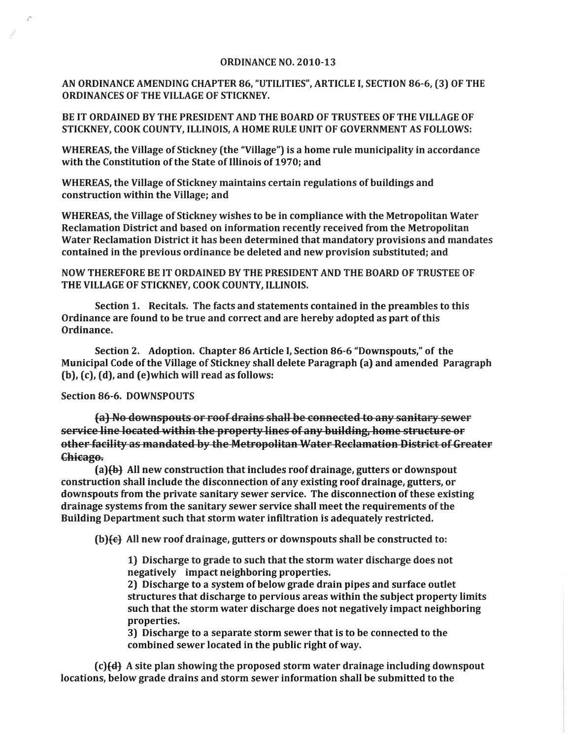## ORDINANCE NO. 2010-13

AN ORDINANCE AMENDING CHAPTER 86, "UTILITIES", ARTICLE I, SECTION 86-6, (3) OF THE ORDINANCES OF THE VILLAGE OF STICKNEY.

BE IT ORDAINED BY THE PRESIDENT AND THE BOARD OF TRUSTEES OF THE VILLAGE OF STICKNEY, COOK COUNTY, ILLINOIS, A HOME RULE UNIT OF GOVERNMENT AS FOLLOWS:

WHEREAS, the Village of Stickney (the "Village") is a home rule municipality in accordance with the Constitution of the State of Illinois of 1970; and

WHEREAS, the Village of Stickney maintains certain regulations of buildings and construction within the Village; and

WHEREAS, the Village of Stickney wishes to be in compliance with the Metropolitan Water Reclamation District and based on information recently received from the Metropolitan Water Reclamation District it has been determined that mandatory provisions and mandates contained in the previous ordinance be deleted and new provision substituted; and

NOW THEREFORE BE IT ORDAINED BY THE PRESIDENT AND THE BOARD OF TRUSTEE OF THE VILLAGE OF STICKNEY, COOK COUNTY, ILLINOIS.

Section 1. Recitals. The facts and statements contained in the preambles to this Ordinance are found to be true and correct and are hereby adopted as part ofthis Ordinance.

Section 2. Adoption. Chapter 86 Article I, Section 86-6 "Downspouts," of the Municipal Code ofthe Village of Stickney shall delete Paragraph (a) and amended Paragraph (b), (c), (d), and (e) which will read as follows:

## Section 86-6. DOWNSPOUTS

(a) No downspouts or roof drains shall be connected to any sanitary sewer service line located within the property lines of any building, home structure or other facility as mandated by the Metropolitan Water Reclamation District of Greater Chicago.

 $(a)$ (b) All new construction that includes roof drainage, gutters or downspout construction shall include the disconnection of any existing roof drainage, gutters, or downspouts from the private sanitary sewer service. The disconnection of these existing drainage systems from the sanitary sewer service shall meet the requirements of the Building Department such that storm water infiltration is adequately restricted.

 $(b)$  $\{\epsilon\}$  All new roof drainage, gutters or downspouts shall be constructed to:

1) Discharge to grade to such that the storm water discharge does not negatively impact neighboring properties.

2) Discharge to a system of below grade drain pipes and surface outlet structures that discharge to pervious areas within the subject property limits such that the storm water discharge does not negatively impact neighboring properties.

3) Discharge to a separate storm sewer that is to be connected to the combined sewer located in the public right of way.

 $(c)$  $(d)$  A site plan showing the proposed storm water drainage including downspout locations, below grade drains and storm sewer information shall be submitted to the